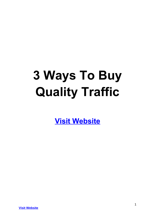# **3 Ways To Buy Quality Traffic**

**[Visit Website](http://replug.link/f7ab3460/)**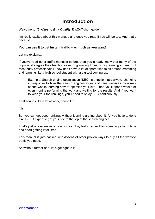### **Introduction**

Welcome to *"3 Ways to Buy Quality Traffic"* short guide!

I'm really excited about this manual, and once you read it you will be too. And that's because…

#### **You can use it to get instant traffic – as much as you want!**

Let me explain…

If you've read other traffic manuals before, then you already know that many of the popular strategies they teach involve long waiting times or big learning curves. But most busy professionals I know don't have a lot of spare time to sit around cramming and learning like a high school student with a big test coming up.

Example: Search engine optimization (SEO) is a tactic that's always changing in response to how the search engines index and rank websites. You may spend weeks learning how to optimize your site. Then you'll spend weeks or even months performing the work and waiting for the results. And if you want to keep your top rankings, you'll need to study SEO continuously.

That sounds like a lot of work, doesn't it?

It is.

But you can get good rankings without learning a thing about it. All you have to do is hire a SEO expert to get your site to the top of the search engines!

That's just one example of how you can buy traffic rather than spending a lot of time and effort getting it for "free."

This manual is jam-packed with dozens of other proven ways to buy all the website traffic you need.

So without further ado, let's get right to it…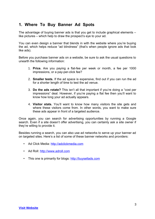#### **1. Where To Buy Banner Ad Spots**

The advantage of buying banner ads is that you get to include graphical elements – like pictures – which help to draw the prospect's eye to your ad.

You can even design a banner that blends in with the website where you're buying the ad, which helps reduce "ad blindness" (that's when people ignore ads that look like ads).

Before you purchase banner ads on a website, be sure to ask the usual questions to unearth the following information:

- 1. **Price.** Are you paying a flat-fee per week or month, a fee per 1000 impressions, or a pay-per-click fee?
- 2. **Smaller tests.** If the ad space is expensive, find out if you can run the ad for a shorter length of time to test the ad venue.
- 3. **Do the ads rotate?** This isn't all that important if you're doing a "cost per impressions" deal. However, if you're paying a flat fee then you'll want to know how long your ad actually appears.
- 4. **Visitor stats.** You'll want to know how many visitors the site gets and where these visitors come from. In other words, you want to make sure these ads appear in front of a targeted audience.

Once again, you can search for advertising opportunities by running a Google search. Even if a site doesn't offer advertising, you can certainly ask a site owner if they're willing to provide it.

Besides running a search, you can also use ad networks to serve up your banner ad on targeted sites. Here's a list of some of these banner networks and providers:

- Ad Click Media: [http://adclickmedia.com](http://adclickmedia.com/)
- Ad Roll: [http://www.adroll.com](http://www.adroll.com/)
- This one is primarily for blogs: [http://buysellads.com](http://buysellads.com/)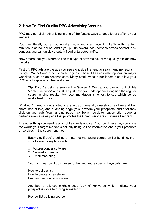#### **2. How To Find Quality PPC Advertising Venues**

PPC (pay per click) advertising is one of the fastest ways to get a lot of traffic to your website.

You can literally put an ad up right now and start receiving traffic within a few minutes to an hour or so. And if you put up several ads (perhaps across several PPC venues), you can quickly create a flood of targeted traffic.

Now before I tell you where to find this type of advertising, let me quickly explain how it works…

First off, PPC ads are the ads you see alongside the regular search engine results in Google, Yahoo! and other search engines. These PPC ads also appear on major websites, such as on Amazon.com. Many small website publishers also allow your PPC ads to appear on their websites.

**Tip:** If you're using a service like Google AdWords, you can opt out of this "content network" and instead just have your ads appear alongside the regular search engine results. My recommendation is to test to see which venue works best for you.

What you'll need to get started is a short ad (generally one short headline and two short lines of text) and a landing page (this is where your prospects land after they click on your ad). Your landing page may be a newsletter subscription page or perhaps even a sales page that promotes the Commission Cash License Program.

The other thing you need is a list of keywords you can "bid" on. These keywords are the words your target market is actually using to find information about your products or services in the search engines.

**Example**: If you're selling an internet marketing course on list building, then your keywords might include:

- 1. Autoresponder software
- 2. Newsletter creation
- 3. Email marketing

You might narrow it down even further with more specific keywords, like:

- How to build a list
- How to create a newsletter
- Best autoresponder software

And best of all, you might choose "buying" keywords, which indicate your prospect is close to buying something:

• Review list building course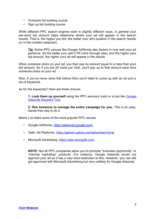- Compare list building course
- Sign up list building course

While different PPC search engines work in slightly different ways, in general your per-word bid amount helps determine where your ad will appear in the search results. That is, the higher you bid, the better your ad's position in the search results (or in the content networks).

**Tip**: Some PPC venues like Google AdWords also factors in how well your ad performs. So the better your add CTR (click through rate), and the higher your bid amount, the higher your ad will appear in the results.

When someone clicks on your ad, you then pay an amount equal to or less than your bid amount. So if you bid 25 cents per click, you'll pay up to that amount each time someone clicks on your ad.

Now, if you've never done this before then you'll need to come up with an ad and a list of keywords.

As for the keywords? Here are three choices:

**1. Look them up yourself** using the PPC service's tools or a tool like **[Google](https://adwords.google.com/select/KeywordToolExternal)** [Adwords Keyword Tool.](https://adwords.google.com/select/KeywordToolExternal)

**2. Hire someone to manage the entire campaign for you.** This is an easy, hands-free way to do it.

Below I've listed some of the more popular PPC venues.

- Google AdWords:<https://adwords.google.com/>
- Oath: Ad Platforms:<https://gemini.yahoo.com/advertiser/home>
- Microsoft Advertising:<https://ads.microsoft.com/>

**NOTE:** Not all PPC companies allow you to promote "business opportunity" or "internet marketing" products. For instance, Google Adwords would not approve your ad as it has a very strict restriction to this. However, you can still get approved with Microsoft Advertising but very unlikely for Google Adwords.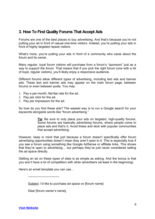#### **3. How To Find Quality Forums That Accept Ads**

Forums are one of the best places to buy advertising. And that's because you're not putting your ad in front of casual one-time visitors. Instead, you're putting your ads in front of highly targeted repeat visitors.

What's more, you're putting your ads in front of a community who cares about the forum and its owner.

Many regular, loyal forum visitors will purchase from a forum's "sponsors" just as a way to support the forum. That means that if you pick the right forum (one with a lot of loyal, regular visitors), you'll likely enjoy a responsive audience.

Different forums allow different types of advertising, including text ads and banner ads. These text and banner ads may appear on the main forum page, between forums or even between posts. You may:

- 1. Pay a per-month, flat-fee rate for the ad.
- 2. Pay per click for the ad.
- 3. Pay per impression for the ad.

So how do you find these ads? The easiest way is to run a Google search for your keywords alongside words like "forum advertising."

> **Tip**: Be sure to only place your ads on targeted, high-quality forums. Some forums are basically advertising forums, where people come to place ads and that's it. Avoid these and stick with popular communities that accept advertising.

However, keep in mind that just because a forum doesn't specifically offer forum advertising opportunities doesn't mean they aren't open to it. This is especially true if you see a forum using something like Google AdSense or affiliate links. This shows that they're open to advertising… but perhaps they've just never considered selling the ad space directly.

Getting an ad on these types of sites is as simple as asking. And the bonus is that you won't have a lot of competition with other advertisers (at least in the beginning).

Here's an email template you can use…

------------------------------

Subject: I'd like to purchase ad space on [forum name]

Dear [forum owner's name],

**[Visit Website](http://replug.link/f7ab3460/)**